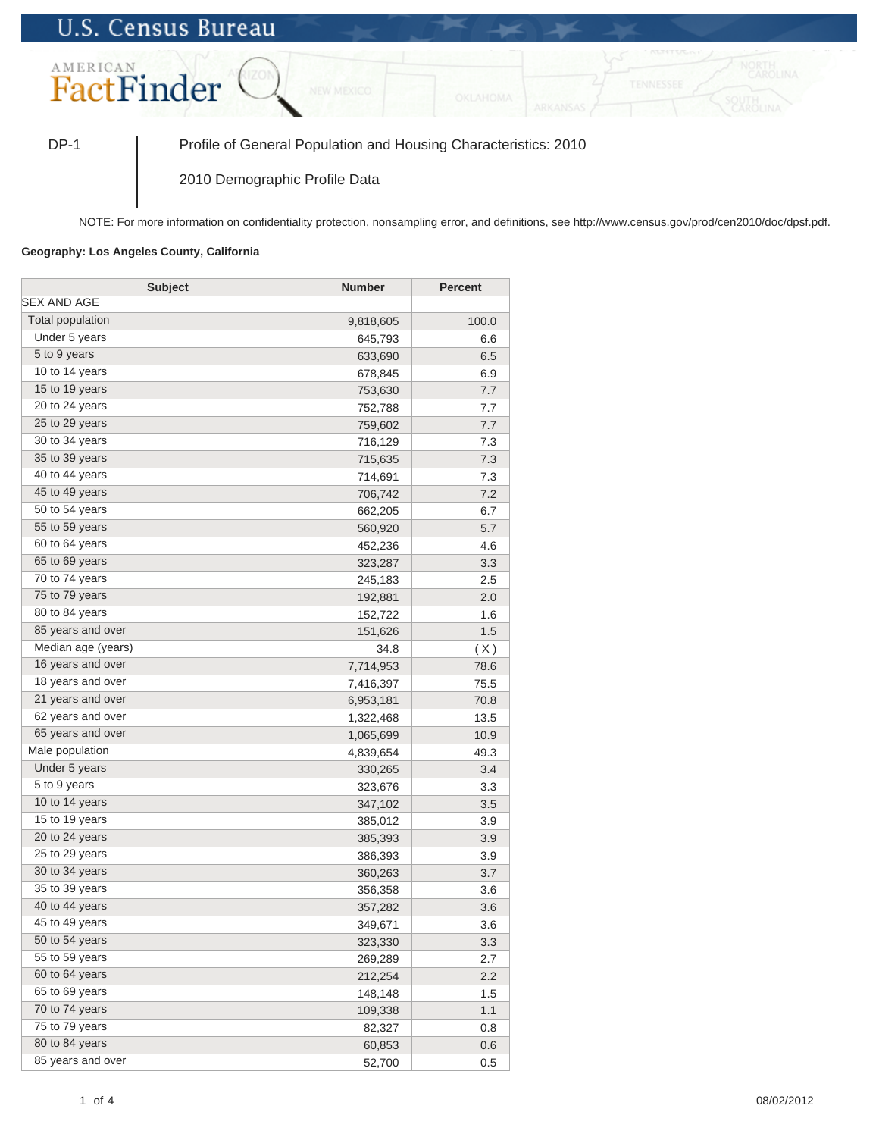## **U.S. Census Bureau**



DP-1 Profile of General Population and Housing Characteristics: 2010

2010 Demographic Profile Data

NOTE: For more information on confidentiality protection, nonsampling error, and definitions, see http://www.census.gov/prod/cen2010/doc/dpsf.pdf.

## **Geography: Los Angeles County, California**

| <b>Subject</b>          | <b>Number</b> | <b>Percent</b> |
|-------------------------|---------------|----------------|
| SEX AND AGE             |               |                |
| <b>Total population</b> | 9,818,605     | 100.0          |
| Under 5 years           | 645,793       | 6.6            |
| 5 to 9 years            | 633,690       | 6.5            |
| 10 to 14 years          | 678,845       | 6.9            |
| 15 to 19 years          | 753,630       | 7.7            |
| 20 to 24 years          | 752,788       | 7.7            |
| 25 to 29 years          | 759,602       | 7.7            |
| 30 to 34 years          | 716,129       | 7.3            |
| 35 to 39 years          | 715,635       | 7.3            |
| 40 to 44 years          | 714,691       | 7.3            |
| 45 to 49 years          | 706,742       | 7.2            |
| 50 to 54 years          | 662,205       | 6.7            |
| 55 to 59 years          | 560,920       | 5.7            |
| 60 to 64 years          | 452,236       | 4.6            |
| 65 to 69 years          | 323,287       | 3.3            |
| 70 to 74 years          | 245,183       | 2.5            |
| 75 to 79 years          | 192,881       | 2.0            |
| 80 to 84 years          | 152,722       | 1.6            |
| 85 years and over       | 151,626       | 1.5            |
| Median age (years)      | 34.8          | (X)            |
| 16 years and over       | 7,714,953     | 78.6           |
| 18 years and over       | 7,416,397     | 75.5           |
| 21 years and over       | 6,953,181     | 70.8           |
| 62 years and over       | 1,322,468     | 13.5           |
| 65 years and over       | 1,065,699     | 10.9           |
| Male population         | 4,839,654     | 49.3           |
| Under 5 years           | 330,265       | 3.4            |
| 5 to 9 years            | 323,676       | 3.3            |
| 10 to 14 years          | 347,102       | 3.5            |
| 15 to 19 years          | 385,012       | 3.9            |
| 20 to 24 years          | 385,393       | 3.9            |
| 25 to 29 years          | 386,393       | 3.9            |
| 30 to 34 years          | 360,263       | 3.7            |
| 35 to 39 years          | 356,358       | 3.6            |
| 40 to 44 years          | 357,282       | 3.6            |
| 45 to 49 years          | 349,671       | 3.6            |
| 50 to 54 years          | 323,330       | 3.3            |
| 55 to 59 years          | 269,289       | 2.7            |
| 60 to 64 years          | 212,254       | 2.2            |
| 65 to 69 years          | 148,148       | 1.5            |
| 70 to 74 years          | 109,338       | 1.1            |
| 75 to 79 years          | 82,327        | 0.8            |
| 80 to 84 years          | 60,853        | 0.6            |
| 85 years and over       | 52,700        | 0.5            |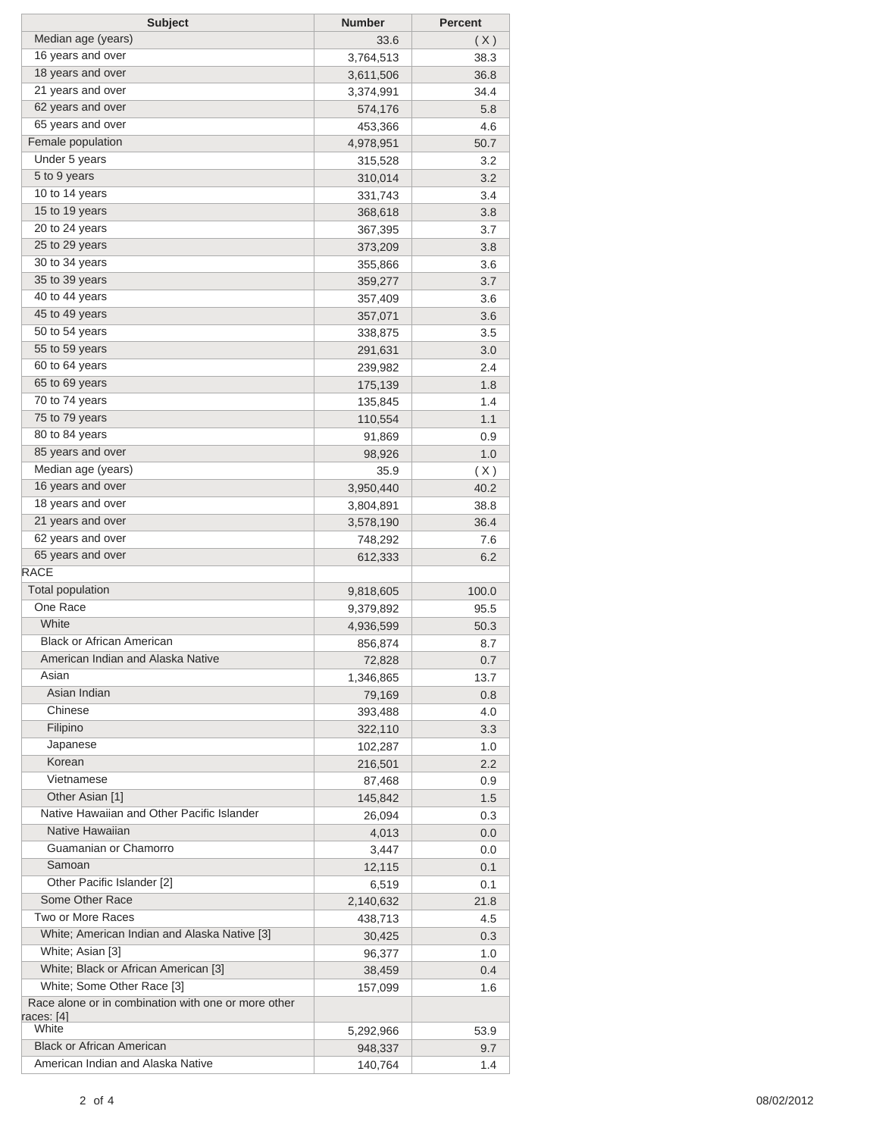| <b>Subject</b>                                      | <b>Number</b>        | <b>Percent</b> |
|-----------------------------------------------------|----------------------|----------------|
| Median age (years)                                  | 33.6                 | (X)            |
| 16 years and over                                   | 3,764,513            | 38.3           |
| 18 years and over                                   | 3,611,506            | 36.8           |
| 21 years and over                                   | 3,374,991            | 34.4           |
| 62 years and over                                   | 574,176              | 5.8            |
| 65 years and over                                   | 453,366              | 4.6            |
| Female population                                   | 4,978,951            | 50.7           |
| Under 5 years                                       | 315,528              | 3.2            |
| 5 to 9 years                                        | 310,014              | 3.2            |
| 10 to 14 years                                      | 331,743              | 3.4            |
| 15 to 19 years                                      | 368,618              | 3.8            |
| 20 to 24 years                                      | 367,395              | 3.7            |
| 25 to 29 years                                      | 373,209              | 3.8            |
| 30 to 34 years                                      | 355,866              | 3.6            |
| 35 to 39 years                                      | 359,277              | 3.7            |
| 40 to 44 years                                      | 357,409              | 3.6            |
| 45 to 49 years                                      | 357,071              | 3.6            |
| 50 to 54 years                                      | 338,875              | 3.5            |
| 55 to 59 years                                      | 291,631              | 3.0            |
| 60 to 64 years                                      | 239,982              | 2.4            |
| 65 to 69 years                                      | 175,139              | 1.8            |
| 70 to 74 years                                      | 135,845              | 1.4            |
| 75 to 79 years                                      | 110,554              | 1.1            |
| 80 to 84 years                                      | 91,869               | 0.9            |
| 85 years and over                                   | 98,926               | 1.0            |
| Median age (years)                                  | 35.9                 | (X)            |
| 16 years and over                                   | 3,950,440            | 40.2           |
| 18 years and over                                   | 3,804,891            | 38.8           |
| 21 years and over                                   | 3,578,190            | 36.4           |
| 62 years and over                                   | 748,292              | 7.6            |
| 65 years and over                                   | 612,333              | 6.2            |
| <b>RACE</b>                                         |                      |                |
| <b>Total population</b>                             | 9,818,605            | 100.0          |
| One Race                                            | 9,379,892            | 95.5           |
| White                                               | 4,936,599            | 50.3           |
| <b>Black or African American</b>                    | 856,874              | 8.7            |
| American Indian and Alaska Native                   | 72,828               | 0.7            |
| Asian                                               | 1,346,865            | 13.7           |
| Asian Indian                                        | 79,169               | 0.8            |
| Chinese<br>Filipino                                 | 393,488              | 4.0            |
|                                                     | 322,110              | 3.3            |
| Japanese<br>Korean                                  | 102,287              | 1.0            |
| Vietnamese                                          | 216,501              | 2.2            |
| Other Asian [1]                                     | 87,468               | 0.9            |
| Native Hawaiian and Other Pacific Islander          | 145,842              | 1.5            |
| Native Hawaiian                                     | 26,094<br>4,013      | 0.3            |
| Guamanian or Chamorro                               | 3,447                | 0.0<br>0.0     |
| Samoan                                              | 12,115               | 0.1            |
| Other Pacific Islander [2]                          | 6,519                | 0.1            |
| Some Other Race                                     | 2,140,632            | 21.8           |
| Two or More Races                                   | 438,713              | 4.5            |
| White; American Indian and Alaska Native [3]        | 30,425               | 0.3            |
| White; Asian [3]                                    | 96,377               | 1.0            |
| White; Black or African American [3]                | 38,459               | 0.4            |
| White; Some Other Race [3]                          | 157,099              | 1.6            |
| Race alone or in combination with one or more other |                      |                |
| races: [4]<br>White                                 |                      |                |
| <b>Black or African American</b>                    | 5,292,966<br>948,337 | 53.9           |
| American Indian and Alaska Native                   | 140,764              | 9.7<br>1.4     |
|                                                     |                      |                |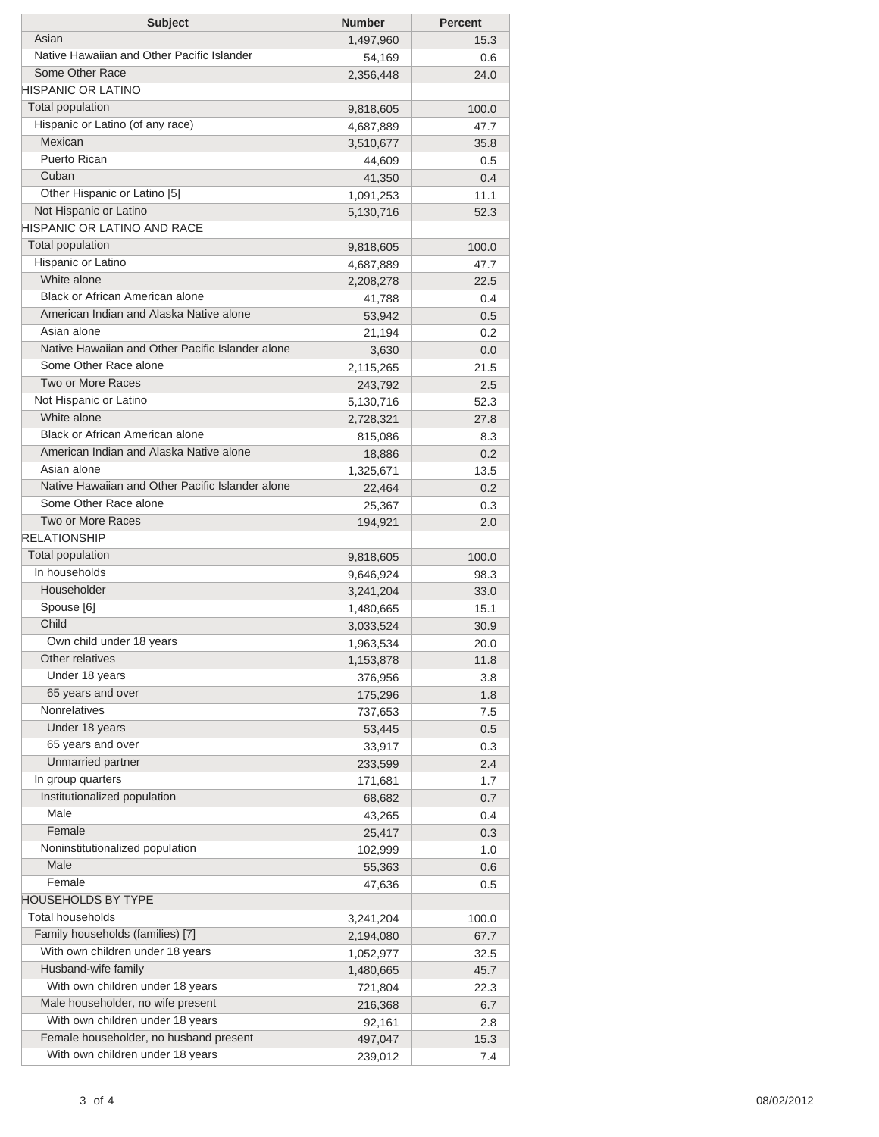| <b>Subject</b>                                   | <b>Number</b> | <b>Percent</b> |
|--------------------------------------------------|---------------|----------------|
| Asian                                            | 1,497,960     | 15.3           |
| Native Hawaiian and Other Pacific Islander       | 54,169        | 0.6            |
| Some Other Race                                  | 2,356,448     | 24.0           |
| <b>HISPANIC OR LATINO</b>                        |               |                |
| Total population                                 | 9,818,605     | 100.0          |
| Hispanic or Latino (of any race)                 | 4,687,889     | 47.7           |
| Mexican                                          | 3,510,677     | 35.8           |
| Puerto Rican                                     | 44,609        | 0.5            |
| Cuban                                            | 41,350        | 0.4            |
| Other Hispanic or Latino [5]                     | 1,091,253     | 11.1           |
| Not Hispanic or Latino                           | 5,130,716     | 52.3           |
| HISPANIC OR LATINO AND RACE                      |               |                |
| <b>Total population</b>                          | 9,818,605     | 100.0          |
| Hispanic or Latino                               | 4,687,889     | 47.7           |
| White alone                                      | 2,208,278     | 22.5           |
| Black or African American alone                  | 41,788        | 0.4            |
| American Indian and Alaska Native alone          | 53,942        | 0.5            |
| Asian alone                                      | 21,194        | 0.2            |
| Native Hawaiian and Other Pacific Islander alone | 3,630         | 0.0            |
| Some Other Race alone                            | 2,115,265     | 21.5           |
| Two or More Races                                | 243,792       | 2.5            |
| Not Hispanic or Latino                           | 5,130,716     | 52.3           |
| White alone                                      | 2,728,321     | 27.8           |
| Black or African American alone                  | 815,086       | 8.3            |
| American Indian and Alaska Native alone          | 18,886        | 0.2            |
| Asian alone                                      | 1,325,671     | 13.5           |
| Native Hawaiian and Other Pacific Islander alone | 22,464        | 0.2            |
| Some Other Race alone                            | 25,367        | 0.3            |
| Two or More Races                                | 194,921       | 2.0            |
| <b>RELATIONSHIP</b>                              |               |                |
| <b>Total population</b>                          | 9,818,605     | 100.0          |
| In households                                    | 9,646,924     | 98.3           |
| Householder                                      | 3,241,204     | 33.0           |
| Spouse [6]                                       | 1,480,665     | 15.1           |
| Child                                            | 3,033,524     | 30.9           |
| Own child under 18 years                         | 1,963,534     | 20.0           |
| Other relatives                                  | 1,153,878     | 11.8           |
| Under 18 years                                   | 376,956       | 3.8            |
| 65 years and over                                | 175,296       | 1.8            |
| Nonrelatives                                     | 737,653       | 7.5            |
| Under 18 years                                   | 53,445        | 0.5            |
| 65 years and over                                | 33,917        | 0.3            |
| Unmarried partner                                | 233,599       | 2.4            |
| In group quarters                                | 171,681       | 1.7            |
| Institutionalized population                     | 68,682        | 0.7            |
| Male                                             | 43,265        | 0.4            |
| Female                                           | 25,417        | 0.3            |
| Noninstitutionalized population                  | 102,999       | 1.0            |
| Male                                             | 55,363        | 0.6            |
| Female                                           | 47,636        | 0.5            |
| <b>HOUSEHOLDS BY TYPE</b>                        |               |                |
| <b>Total households</b>                          | 3,241,204     | 100.0          |
| Family households (families) [7]                 | 2,194,080     | 67.7           |
| With own children under 18 years                 | 1,052,977     | 32.5           |
| Husband-wife family                              | 1,480,665     | 45.7           |
| With own children under 18 years                 | 721,804       | 22.3           |
| Male householder, no wife present                | 216,368       | 6.7            |
| With own children under 18 years                 | 92,161        | 2.8            |
| Female householder, no husband present           | 497,047       | 15.3           |
| With own children under 18 years                 | 239,012       | 7.4            |